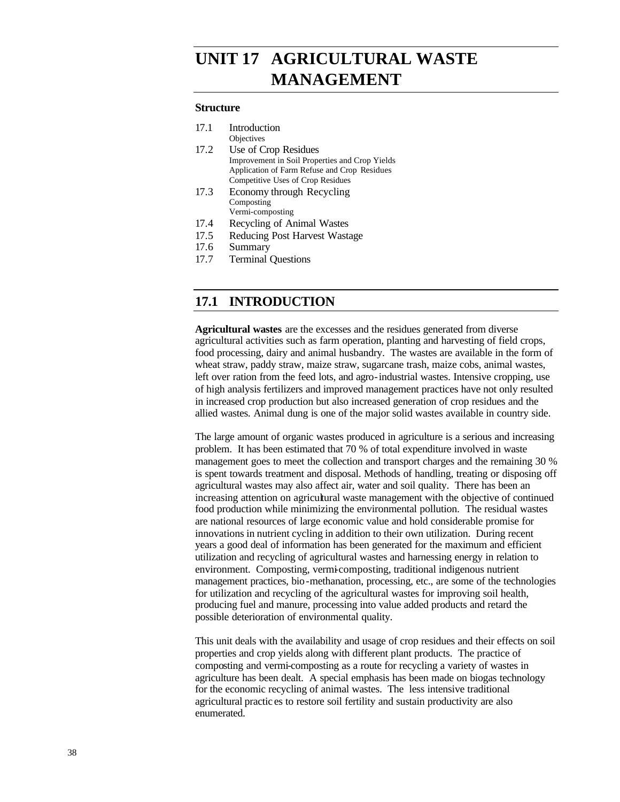# **Future UNIT 17 AGRICULTURAL WASTE MANAGEMENT**

#### **Structure**

| 17.1            | Introduction                                   |
|-----------------|------------------------------------------------|
|                 | Objectives                                     |
| 17.2            | Use of Crop Residues                           |
|                 | Improvement in Soil Properties and Crop Yields |
|                 | Application of Farm Refuse and Crop Residues   |
|                 | Competitive Uses of Crop Residues              |
| 17.3            | Economy through Recycling                      |
|                 | Composting                                     |
|                 | Vermi-composting                               |
| 17 <sub>1</sub> | $D_{\text{2}}$ = $-1!$ = $-6$ A $-1$ M/ $-1$   |

- 17.4 Recycling of Animal Wastes
- 17.5 Reducing Post Harvest Wastage
- 17.6 Summary
- 17.7 Terminal Questions

## **17.1 INTRODUCTION**

**Agricultural wastes** are the excesses and the residues generated from diverse agricultural activities such as farm operation, planting and harvesting of field crops, food processing, dairy and animal husbandry. The wastes are available in the form of wheat straw, paddy straw, maize straw, sugarcane trash, maize cobs, animal wastes, left over ration from the feed lots, and agro-industrial wastes. Intensive cropping, use of high analysis fertilizers and improved management practices have not only resulted in increased crop production but also increased generation of crop residues and the allied wastes. Animal dung is one of the major solid wastes available in country side.

The large amount of organic wastes produced in agriculture is a serious and increasing problem. It has been estimated that 70 % of total expenditure involved in waste management goes to meet the collection and transport charges and the remaining 30 % is spent towards treatment and disposal. Methods of handling, treating or disposing off agricultural wastes may also affect air, water and soil quality. There has been an increasing attention on agricultural waste management with the objective of continued food production while minimizing the environmental pollution. The residual wastes are national resources of large economic value and hold considerable promise for innovations in nutrient cycling in addition to their own utilization. During recent years a good deal of information has been generated for the maximum and efficient utilization and recycling of agricultural wastes and harnessing energy in relation to environment. Composting, vermi-composting, traditional indigenous nutrient management practices, bio-methanation, processing, etc., are some of the technologies for utilization and recycling of the agricultural wastes for improving soil health, producing fuel and manure, processing into value added products and retard the possible deterioration of environmental quality.

This unit deals with the availability and usage of crop residues and their effects on soil properties and crop yields along with different plant products. The practice of composting and vermi-composting as a route for recycling a variety of wastes in agriculture has been dealt. A special emphasis has been made on biogas technology for the economic recycling of animal wastes. The less intensive traditional agricultural practic es to restore soil fertility and sustain productivity are also enumerated.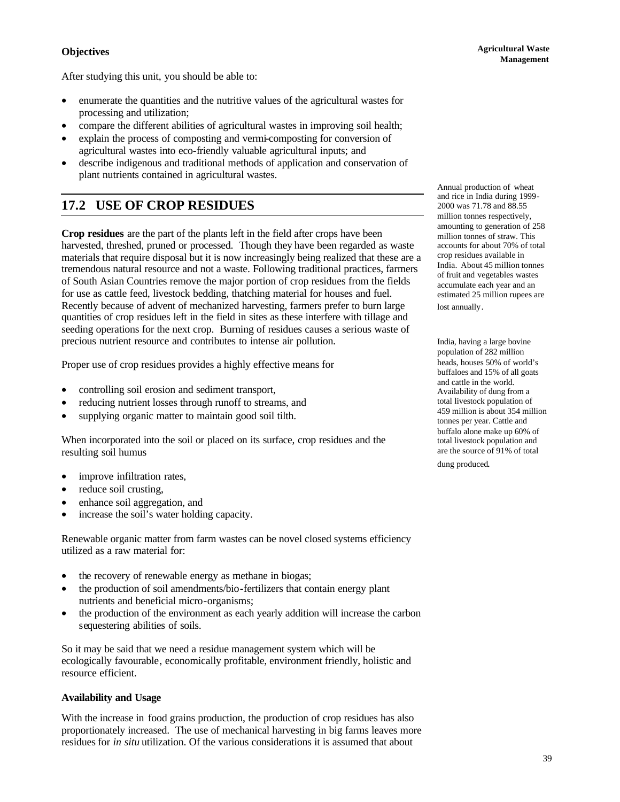## **Objectives**

After studying this unit, you should be able to:

- 
- enumerate the quantities and the nutritive values of the agricultural wastes for processing and utilization;
- compare the different abilities of agricultural wastes in improving soil health;
- explain the process of composting and vermi-composting for conversion of agricultural wastes into eco-friendly valuable agricultural inputs; and
- describe indigenous and traditional methods of application and conservation of plant nutrients contained in agricultural wastes.

## **17.2 USE OF CROP RESIDUES**

**Crop residues** are the part of the plants left in the field after crops have been harvested, threshed, pruned or processed. Though they have been regarded as waste materials that require disposal but it is now increasingly being realized that these are a tremendous natural resource and not a waste. Following traditional practices, farmers of South Asian Countries remove the major portion of crop residues from the fields for use as cattle feed, livestock bedding, thatching material for houses and fuel. Recently because of advent of mechanized harvesting, farmers prefer to burn large quantities of crop residues left in the field in sites as these interfere with tillage and seeding operations for the next crop. Burning of residues causes a serious waste of precious nutrient resource and contributes to intense air pollution.

Proper use of crop residues provides a highly effective means for

- controlling soil erosion and sediment transport,
- reducing nutrient losses through runoff to streams, and
- supplying organic matter to maintain good soil tilth.

When incorporated into the soil or placed on its surface, crop residues and the resulting soil humus

- improve infiltration rates,
- reduce soil crusting,
- enhance soil aggregation, and
- increase the soil's water holding capacity.

Renewable organic matter from farm wastes can be novel closed systems efficiency utilized as a raw material for:

- the recovery of renewable energy as methane in biogas;
- the production of soil amendments/bio-fertilizers that contain energy plant nutrients and beneficial micro-organisms;
- the production of the environment as each yearly addition will increase the carbon sequestering abilities of soils.

So it may be said that we need a residue management system which will be ecologically favourable, economically profitable, environment friendly, holistic and resource efficient.

## **Availability and Usage**

With the increase in food grains production, the production of crop residues has also proportionately increased. The use of mechanical harvesting in big farms leaves more residues for *in situ* utilization. Of the various considerations it is assumed that about

Annual production of wheat and rice in India during 1999- 2000 was 71.78 and 88.55 million tonnes respectively, amounting to generation of 258 million tonnes of straw. This accounts for about 70% of total crop residues available in India. About 45 million tonnes of fruit and vegetables wastes accumulate each year and an estimated 25 million rupees are lost annually.

India, having a large bovine population of 282 million heads, houses 50% of world's buffaloes and 15% of all goats and cattle in the world. Availability of dung from a total livestock population of 459 million is about 354 million tonnes per year. Cattle and buffalo alone make up 60% of total livestock population and are the source of 91% of total

dung produced.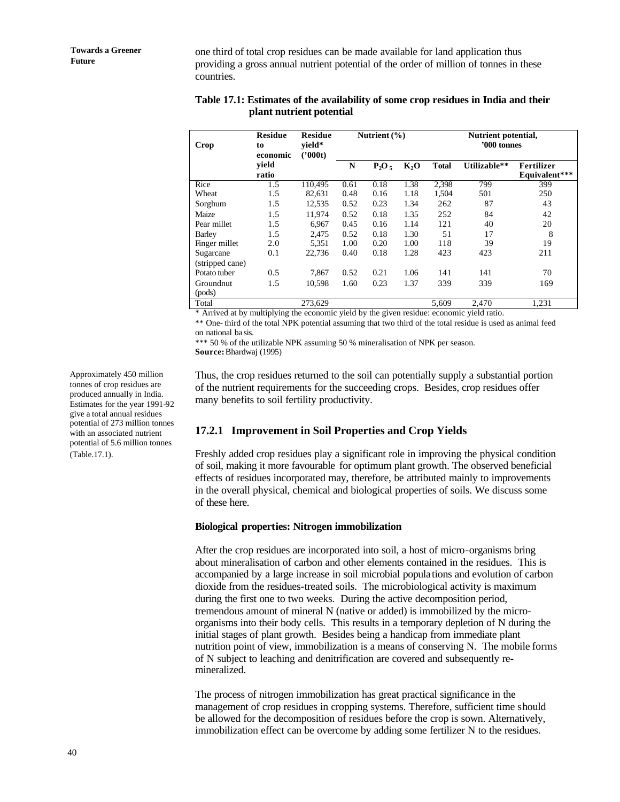one third of total crop residues can be made available for land application thus providing a gross annual nutrient potential of the order of million of tonnes in these countries.

## **Table 17.1: Estimates of the availability of some crop residues in India and their plant nutrient potential**

| Crop                         | <b>Residue</b><br>to<br>economic | <b>Residue</b><br>vield*<br>('000t) | Nutrient $(\% )$ |          |                  | Nutrient potential,<br>'000 tonnes |              |                             |
|------------------------------|----------------------------------|-------------------------------------|------------------|----------|------------------|------------------------------------|--------------|-----------------------------|
|                              | vield<br>ratio                   |                                     | N                | $P_2O_5$ | K <sub>2</sub> O | <b>Total</b>                       | Utilizable** | Fertilizer<br>Equivalent*** |
| Rice                         | 1.5                              | 110,495                             | 0.61             | 0.18     | 1.38             | 2,398                              | 799          | 399                         |
| Wheat                        | 1.5                              | 82,631                              | 0.48             | 0.16     | 1.18             | 1,504                              | 501          | 250                         |
| Sorghum                      | 1.5                              | 12,535                              | 0.52             | 0.23     | 1.34             | 262                                | 87           | 43                          |
| Maize                        | 1.5                              | 11,974                              | 0.52             | 0.18     | 1.35             | 252                                | 84           | 42                          |
| Pear millet                  | 1.5                              | 6,967                               | 0.45             | 0.16     | 1.14             | 121                                | 40           | 20                          |
| Barley                       | 1.5                              | 2,475                               | 0.52             | 0.18     | 1.30             | 51                                 | 17           | 8                           |
| Finger millet                | 2.0                              | 5,351                               | 1.00             | 0.20     | 1.00             | 118                                | 39           | 19                          |
| Sugarcane<br>(stripped cane) | 0.1                              | 22,736                              | 0.40             | 0.18     | 1.28             | 423                                | 423          | 211                         |
| Potato tuber                 | 0.5                              | 7,867                               | 0.52             | 0.21     | 1.06             | 141                                | 141          | 70                          |
| Groundnut<br>(pods)          | 1.5                              | 10,598                              | 1.60             | 0.23     | 1.37             | 339                                | 339          | 169                         |
| Total                        |                                  | 273,629                             |                  |          |                  | 5.609                              | 2.470        | 1,231                       |

\* Arrived at by multiplying the economic yield by the given residue: economic yield ratio.

\*\* One- third of the total NPK potential assuming that two third of the total residue is used as animal feed on national ba sis.

\*\*\* 50 % of the utilizable NPK assuming 50 % mineralisation of NPK per season. **Source:** Bhardwaj (1995)

Thus, the crop residues returned to the soil can potentially supply a substantial portion of the nutrient requirements for the succeeding crops. Besides, crop residues offer many benefits to soil fertility productivity.

## **17.2.1 Improvement in Soil Properties and Crop Yields**

Freshly added crop residues play a significant role in improving the physical condition of soil, making it more favourable for optimum plant growth. The observed beneficial effects of residues incorporated may, therefore, be attributed mainly to improvements in the overall physical, chemical and biological properties of soils. We discuss some of these here.

## **Biological properties: Nitrogen immobilization**

After the crop residues are incorporated into soil, a host of micro-organisms bring about mineralisation of carbon and other elements contained in the residues. This is accompanied by a large increase in soil microbial popula tions and evolution of carbon dioxide from the residues-treated soils. The microbiological activity is maximum during the first one to two weeks. During the active decomposition period, tremendous amount of mineral N (native or added) is immobilized by the microorganisms into their body cells. This results in a temporary depletion of N during the initial stages of plant growth. Besides being a handicap from immediate plant nutrition point of view, immobilization is a means of conserving N. The mobile forms of N subject to leaching and denitrification are covered and subsequently remineralized.

The process of nitrogen immobilization has great practical significance in the management of crop residues in cropping systems. Therefore, sufficient time should be allowed for the decomposition of residues before the crop is sown. Alternatively, immobilization effect can be overcome by adding some fertilizer N to the residues.

Approximately 450 million tonnes of crop residues are produced annually in India. Estimates for the year 1991-92 give a total annual residues potential of 273 million tonnes with an associated nutrient potential of 5.6 million tonnes (Table.17.1).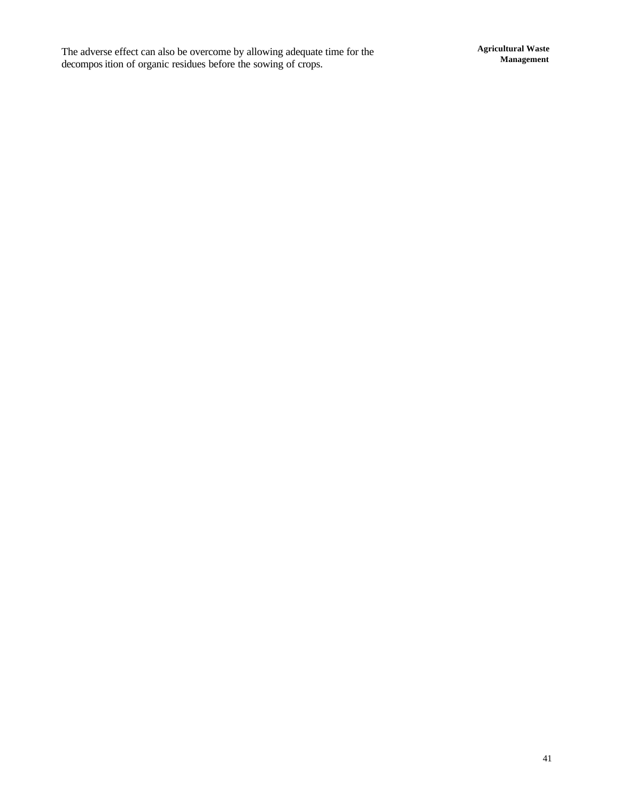The adverse effect can also be overcome by allowing adequate time for the decompos ition of organic residues before the sowing of crops.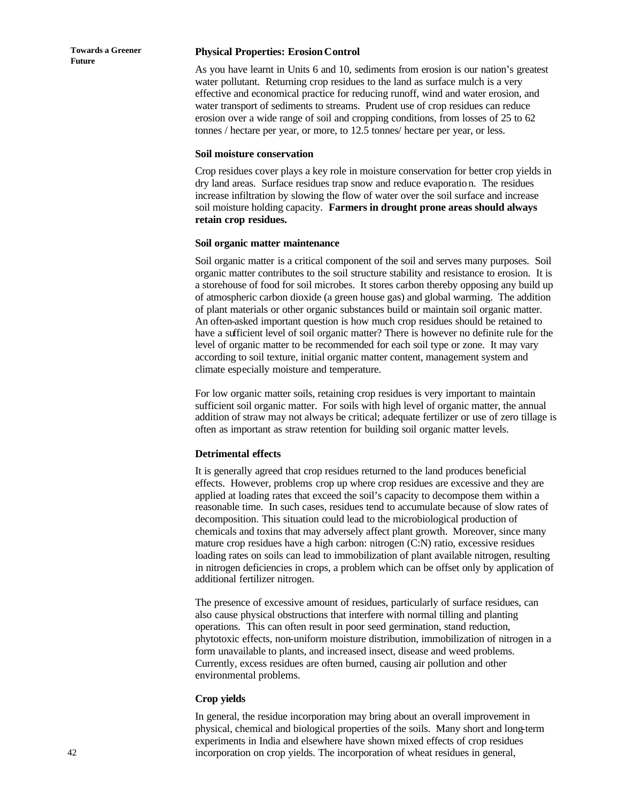#### **Physical Properties: Erosion Control**

As you have learnt in Units 6 and 10, sediments from erosion is our nation's greatest water pollutant. Returning crop residues to the land as surface mulch is a very effective and economical practice for reducing runoff, wind and water erosion, and water transport of sediments to streams. Prudent use of crop residues can reduce erosion over a wide range of soil and cropping conditions, from losses of 25 to 62 tonnes / hectare per year, or more, to 12.5 tonnes/ hectare per year, or less.

#### **Soil moisture conservation**

Crop residues cover plays a key role in moisture conservation for better crop yields in dry land areas. Surface residues trap snow and reduce evaporatio n. The residues increase infiltration by slowing the flow of water over the soil surface and increase soil moisture holding capacity. **Farmers in drought prone areas should always retain crop residues.** 

#### **Soil organic matter maintenance**

Soil organic matter is a critical component of the soil and serves many purposes. Soil organic matter contributes to the soil structure stability and resistance to erosion. It is a storehouse of food for soil microbes. It stores carbon thereby opposing any build up of atmospheric carbon dioxide (a green house gas) and global warming. The addition of plant materials or other organic substances build or maintain soil organic matter. An often-asked important question is how much crop residues should be retained to have a sufficient level of soil organic matter? There is however no definite rule for the level of organic matter to be recommended for each soil type or zone. It may vary according to soil texture, initial organic matter content, management system and climate especially moisture and temperature.

For low organic matter soils, retaining crop residues is very important to maintain sufficient soil organic matter. For soils with high level of organic matter, the annual addition of straw may not always be critical; adequate fertilizer or use of zero tillage is often as important as straw retention for building soil organic matter levels.

#### **Detrimental effects**

It is generally agreed that crop residues returned to the land produces beneficial effects. However, problems crop up where crop residues are excessive and they are applied at loading rates that exceed the soil's capacity to decompose them within a reasonable time. In such cases, residues tend to accumulate because of slow rates of decomposition. This situation could lead to the microbiological production of chemicals and toxins that may adversely affect plant growth. Moreover, since many mature crop residues have a high carbon: nitrogen (C:N) ratio, excessive residues loading rates on soils can lead to immobilization of plant available nitrogen, resulting in nitrogen deficiencies in crops, a problem which can be offset only by application of additional fertilizer nitrogen.

The presence of excessive amount of residues, particularly of surface residues, can also cause physical obstructions that interfere with normal tilling and planting operations. This can often result in poor seed germination, stand reduction, phytotoxic effects, non-uniform moisture distribution, immobilization of nitrogen in a form unavailable to plants, and increased insect, disease and weed problems. Currently, excess residues are often burned, causing air pollution and other environmental problems.

#### **Crop yields**

In general, the residue incorporation may bring about an overall improvement in physical, chemical and biological properties of the soils. Many short and long-term experiments in India and elsewhere have shown mixed effects of crop residues incorporation on crop yields. The incorporation of wheat residues in general,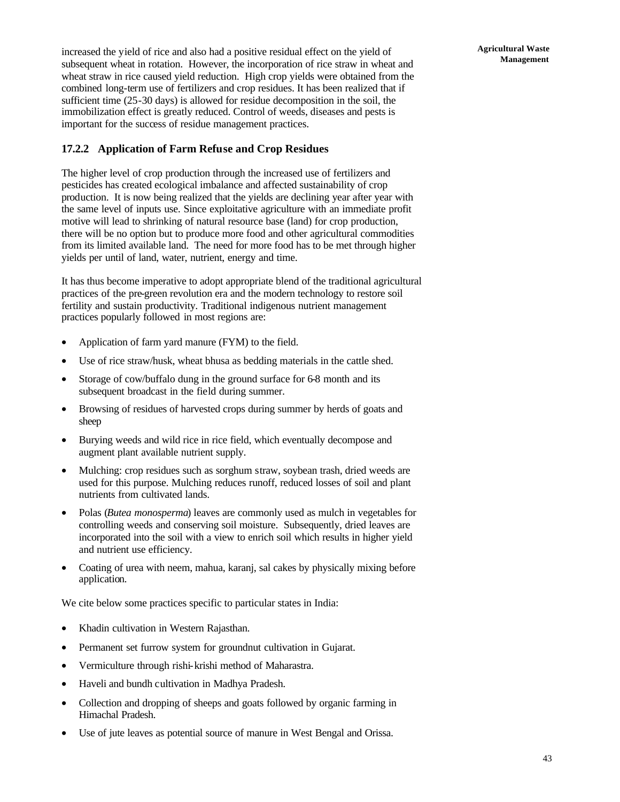increased the yield of rice and also had a positive residual effect on the yield of subsequent wheat in rotation. However, the incorporation of rice straw in wheat and wheat straw in rice caused yield reduction. High crop yields were obtained from the combined long-term use of fertilizers and crop residues. It has been realized that if sufficient time (25-30 days) is allowed for residue decomposition in the soil, the immobilization effect is greatly reduced. Control of weeds, diseases and pests is important for the success of residue management practices.

## **17.2.2 Application of Farm Refuse and Crop Residues**

The higher level of crop production through the increased use of fertilizers and pesticides has created ecological imbalance and affected sustainability of crop production. It is now being realized that the yields are declining year after year with the same level of inputs use. Since exploitative agriculture with an immediate profit motive will lead to shrinking of natural resource base (land) for crop production, there will be no option but to produce more food and other agricultural commodities from its limited available land. The need for more food has to be met through higher yields per until of land, water, nutrient, energy and time.

It has thus become imperative to adopt appropriate blend of the traditional agricultural practices of the pre-green revolution era and the modern technology to restore soil fertility and sustain productivity. Traditional indigenous nutrient management practices popularly followed in most regions are:

- Application of farm yard manure (FYM) to the field.
- Use of rice straw/husk, wheat bhusa as bedding materials in the cattle shed.
- Storage of cow/buffalo dung in the ground surface for 6-8 month and its subsequent broadcast in the field during summer.
- Browsing of residues of harvested crops during summer by herds of goats and sheep
- Burying weeds and wild rice in rice field, which eventually decompose and augment plant available nutrient supply.
- Mulching: crop residues such as sorghum straw, soybean trash, dried weeds are used for this purpose. Mulching reduces runoff, reduced losses of soil and plant nutrients from cultivated lands.
- Polas (*Butea monosperma*) leaves are commonly used as mulch in vegetables for controlling weeds and conserving soil moisture. Subsequently, dried leaves are incorporated into the soil with a view to enrich soil which results in higher yield and nutrient use efficiency.
- Coating of urea with neem, mahua, karanj, sal cakes by physically mixing before application.

We cite below some practices specific to particular states in India:

- Khadin cultivation in Western Rajasthan.
- Permanent set furrow system for groundnut cultivation in Gujarat.
- Vermiculture through rishi-krishi method of Maharastra.
- Haveli and bundh cultivation in Madhya Pradesh.
- Collection and dropping of sheeps and goats followed by organic farming in Himachal Pradesh.
- Use of jute leaves as potential source of manure in West Bengal and Orissa.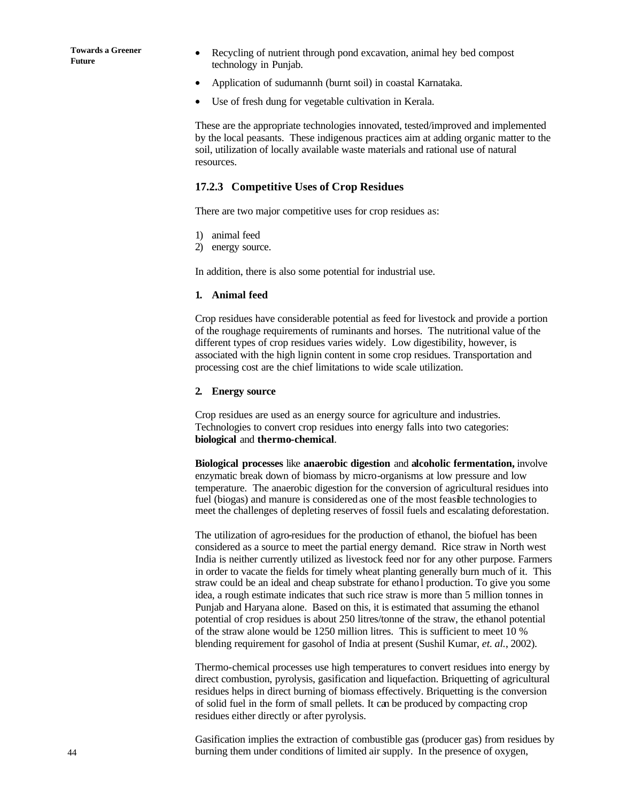- Recycling of nutrient through pond excavation, animal hey bed compost technology in Punjab.
- Application of sudumannh (burnt soil) in coastal Karnataka.
- Use of fresh dung for vegetable cultivation in Kerala.

These are the appropriate technologies innovated, tested/improved and implemented by the local peasants. These indigenous practices aim at adding organic matter to the soil, utilization of locally available waste materials and rational use of natural resources.

## **17.2.3 Competitive Uses of Crop Residues**

There are two major competitive uses for crop residues as:

- 1) animal feed
- 2) energy source.

In addition, there is also some potential for industrial use.

#### **1. Animal feed**

Crop residues have considerable potential as feed for livestock and provide a portion of the roughage requirements of ruminants and horses. The nutritional value of the different types of crop residues varies widely. Low digestibility, however, is associated with the high lignin content in some crop residues. Transportation and processing cost are the chief limitations to wide scale utilization.

#### **2. Energy source**

Crop residues are used as an energy source for agriculture and industries. Technologies to convert crop residues into energy falls into two categories: **biological** and **thermo-chemical**.

**Biological processes** like **anaerobic digestion** and **alcoholic fermentation,** involve enzymatic break down of biomass by micro-organisms at low pressure and low temperature. The anaerobic digestion for the conversion of agricultural residues into fuel (biogas) and manure is considered as one of the most feasible technologies to meet the challenges of depleting reserves of fossil fuels and escalating deforestation.

The utilization of agro-residues for the production of ethanol, the biofuel has been considered as a source to meet the partial energy demand. Rice straw in North west India is neither currently utilized as livestock feed nor for any other purpose. Farmers in order to vacate the fields for timely wheat planting generally burn much of it. This straw could be an ideal and cheap substrate for ethanol production. To give you some idea, a rough estimate indicates that such rice straw is more than 5 million tonnes in Punjab and Haryana alone. Based on this, it is estimated that assuming the ethanol potential of crop residues is about 250 litres/tonne of the straw, the ethanol potential of the straw alone would be 1250 million litres. This is sufficient to meet 10 % blending requirement for gasohol of India at present (Sushil Kumar, *et. al.*, 2002).

Thermo-chemical processes use high temperatures to convert residues into energy by direct combustion, pyrolysis, gasification and liquefaction. Briquetting of agricultural residues helps in direct burning of biomass effectively. Briquetting is the conversion of solid fuel in the form of small pellets. It can be produced by compacting crop residues either directly or after pyrolysis.

Gasification implies the extraction of combustible gas (producer gas) from residues by burning them under conditions of limited air supply. In the presence of oxygen,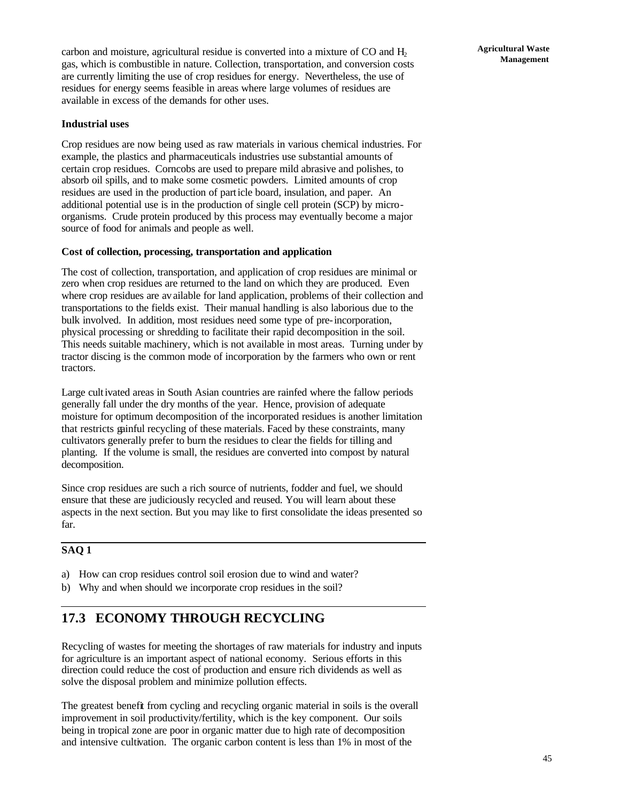carbon and moisture, agricultural residue is converted into a mixture of  $CO$  and  $H<sub>2</sub>$ gas, which is combustible in nature. Collection, transportation, and conversion costs are currently limiting the use of crop residues for energy. Nevertheless, the use of residues for energy seems feasible in areas where large volumes of residues are available in excess of the demands for other uses.

## **Industrial uses**

Crop residues are now being used as raw materials in various chemical industries. For example, the plastics and pharmaceuticals industries use substantial amounts of certain crop residues. Corncobs are used to prepare mild abrasive and polishes, to absorb oil spills, and to make some cosmetic powders. Limited amounts of crop residues are used in the production of particle board, insulation, and paper. An additional potential use is in the production of single cell protein (SCP) by microorganisms. Crude protein produced by this process may eventually become a major source of food for animals and people as well.

## **Cost of collection, processing, transportation and application**

The cost of collection, transportation, and application of crop residues are minimal or zero when crop residues are returned to the land on which they are produced. Even where crop residues are available for land application, problems of their collection and transportations to the fields exist. Their manual handling is also laborious due to the bulk involved. In addition, most residues need some type of pre-incorporation, physical processing or shredding to facilitate their rapid decomposition in the soil. This needs suitable machinery, which is not available in most areas. Turning under by tractor discing is the common mode of incorporation by the farmers who own or rent tractors.

Large cultivated areas in South Asian countries are rainfed where the fallow periods generally fall under the dry months of the year. Hence, provision of adequate moisture for optimum decomposition of the incorporated residues is another limitation that restricts gainful recycling of these materials. Faced by these constraints, many cultivators generally prefer to burn the residues to clear the fields for tilling and planting. If the volume is small, the residues are converted into compost by natural decomposition.

Since crop residues are such a rich source of nutrients, fodder and fuel, we should ensure that these are judiciously recycled and reused. You will learn about these aspects in the next section. But you may like to first consolidate the ideas presented so far.

## **SAQ 1**

- a) How can crop residues control soil erosion due to wind and water?
- b) Why and when should we incorporate crop residues in the soil?

## **17.3 ECONOMY THROUGH RECYCLING**

Recycling of wastes for meeting the shortages of raw materials for industry and inputs for agriculture is an important aspect of national economy. Serious efforts in this direction could reduce the cost of production and ensure rich dividends as well as solve the disposal problem and minimize pollution effects.

The greatest benefit from cycling and recycling organic material in soils is the overall improvement in soil productivity/fertility, which is the key component. Our soils being in tropical zone are poor in organic matter due to high rate of decomposition and intensive cultivation. The organic carbon content is less than 1% in most of the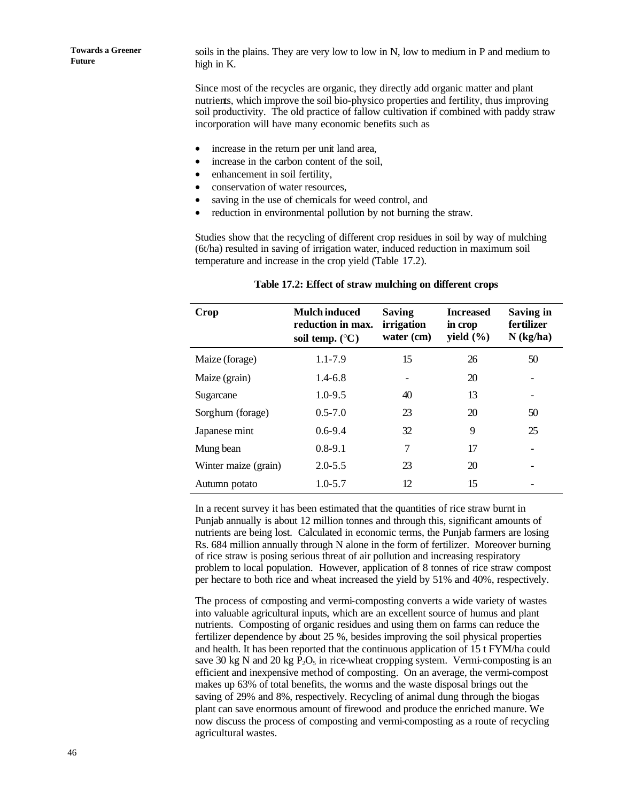soils in the plains. They are very low to low in N, low to medium in P and medium to high in K.

Since most of the recycles are organic, they directly add organic matter and plant nutrients, which improve the soil bio-physico properties and fertility, thus improving soil productivity. The old practice of fallow cultivation if combined with paddy straw incorporation will have many economic benefits such as

- increase in the return per unit land area,
- increase in the carbon content of the soil,
- enhancement in soil fertility,
- conservation of water resources,
- saving in the use of chemicals for weed control, and
- reduction in environmental pollution by not burning the straw.

Studies show that the recycling of different crop residues in soil by way of mulching (6t/ha) resulted in saving of irrigation water, induced reduction in maximum soil temperature and increase in the crop yield (Table 17.2).

| Crop                 | <b>Mulch induced</b><br>reduction in max.<br>soil temp. $(^{\circ}C)$ | <b>Saving</b><br>irrigation<br>water (cm) | <b>Increased</b><br>in crop<br>yield $(\% )$ | <b>Saving in</b><br>fertilizer<br>$N$ (kg/ha) |
|----------------------|-----------------------------------------------------------------------|-------------------------------------------|----------------------------------------------|-----------------------------------------------|
| Maize (forage)       | 1.1-7.9                                                               | 15                                        | 26                                           | 50                                            |
| Maize (grain)        | $1.4 - 6.8$                                                           |                                           | 20                                           |                                               |
| Sugarcane            | $1.0 - 9.5$                                                           | 40                                        | 13                                           |                                               |
| Sorghum (forage)     | $0.5 - 7.0$                                                           | 23                                        | 20                                           | 50                                            |
| Japanese mint        | $0.6 - 9.4$                                                           | 32                                        | 9                                            | 25                                            |
| Mung bean            | $0.8 - 9.1$                                                           | 7                                         | 17                                           |                                               |
| Winter maize (grain) | $2.0 - 5.5$                                                           | 23                                        | 20                                           |                                               |
| Autumn potato        | $1.0 - 5.7$                                                           | 12                                        | 15                                           |                                               |

#### **Table 17.2: Effect of straw mulching on different crops**

In a recent survey it has been estimated that the quantities of rice straw burnt in Punjab annually is about 12 million tonnes and through this, significant amounts of nutrients are being lost. Calculated in economic terms, the Punjab farmers are losing Rs. 684 million annually through N alone in the form of fertilizer. Moreover burning of rice straw is posing serious threat of air pollution and increasing respiratory problem to local population. However, application of 8 tonnes of rice straw compost per hectare to both rice and wheat increased the yield by 51% and 40%, respectively.

The process of composting and vermi-composting converts a wide variety of wastes into valuable agricultural inputs, which are an excellent source of humus and plant nutrients. Composting of organic residues and using them on farms can reduce the fertilizer dependence by about 25 %, besides improving the soil physical properties and health. It has been reported that the continuous application of 15 t FYM/ha could save 30 kg N and 20 kg  $P_2O_5$  in rice-wheat cropping system. Vermi-composting is an efficient and inexpensive method of composting. On an average, the vermi-compost makes up 63% of total benefits, the worms and the waste disposal brings out the saving of 29% and 8%, respectively. Recycling of animal dung through the biogas plant can save enormous amount of firewood and produce the enriched manure. We now discuss the process of composting and vermi-composting as a route of recycling agricultural wastes.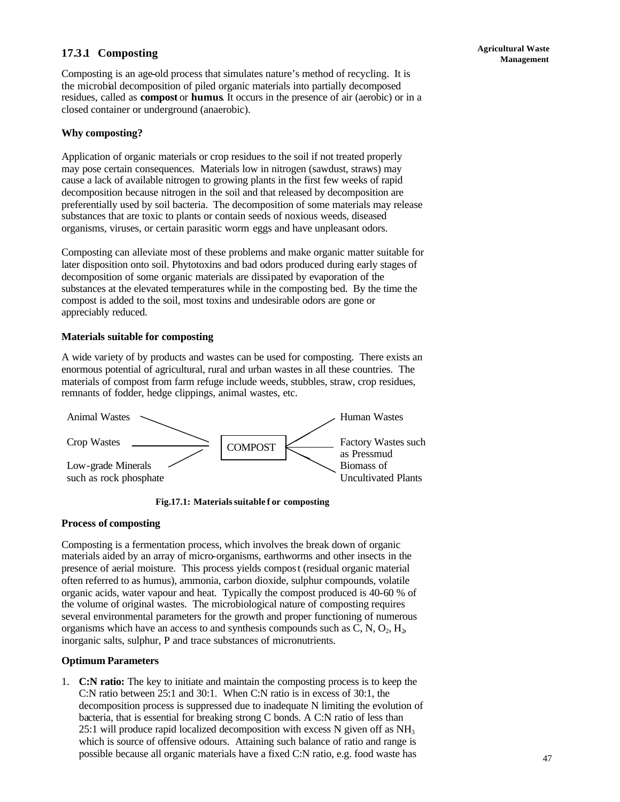## **Management 17.3.1** Composting **and Secure 2.12.1 Composting**

Composting is an age-old process that simulates nature's method of recycling. It is the microbial decomposition of piled organic materials into partially decomposed residues, called as **compost** or **humus**. It occurs in the presence of air (aerobic) or in a closed container or underground (anaerobic).

## **Why composting?**

Application of organic materials or crop residues to the soil if not treated properly may pose certain consequences. Materials low in nitrogen (sawdust, straws) may cause a lack of available nitrogen to growing plants in the first few weeks of rapid decomposition because nitrogen in the soil and that released by decomposition are preferentially used by soil bacteria. The decomposition of some materials may release substances that are toxic to plants or contain seeds of noxious weeds, diseased organisms, viruses, or certain parasitic worm eggs and have unpleasant odors.

Composting can alleviate most of these problems and make organic matter suitable for later disposition onto soil. Phytotoxins and bad odors produced during early stages of decomposition of some organic materials are dissipated by evaporation of the substances at the elevated temperatures while in the composting bed. By the time the compost is added to the soil, most toxins and undesirable odors are gone or appreciably reduced.

## **Materials suitable for composting**

A wide variety of by products and wastes can be used for composting. There exists an enormous potential of agricultural, rural and urban wastes in all these countries. The materials of compost from farm refuge include weeds, stubbles, straw, crop residues, remnants of fodder, hedge clippings, animal wastes, etc.



**Fig.17.1: Materials suitable f or composting**

## **Process of composting**

Composting is a fermentation process, which involves the break down of organic materials aided by an array of micro-organisms, earthworms and other insects in the presence of aerial moisture. This process yields compost (residual organic material often referred to as humus), ammonia, carbon dioxide, sulphur compounds, volatile organic acids, water vapour and heat. Typically the compost produced is 40-60 % of the volume of original wastes. The microbiological nature of composting requires several environmental parameters for the growth and proper functioning of numerous organisms which have an access to and synthesis compounds such as C, N,  $O_2$ , H<sub>2</sub>, inorganic salts, sulphur, P and trace substances of micronutrients.

## **Optimum Parameters**

1. **C:N ratio:** The key to initiate and maintain the composting process is to keep the C:N ratio between 25:1 and 30:1. When C:N ratio is in excess of 30:1, the decomposition process is suppressed due to inadequate N limiting the evolution of bacteria, that is essential for breaking strong C bonds. A C:N ratio of less than 25:1 will produce rapid localized decomposition with excess  $N$  given off as  $NH<sub>3</sub>$ which is source of offensive odours. Attaining such balance of ratio and range is possible because all organic materials have a fixed C:N ratio, e.g. food waste has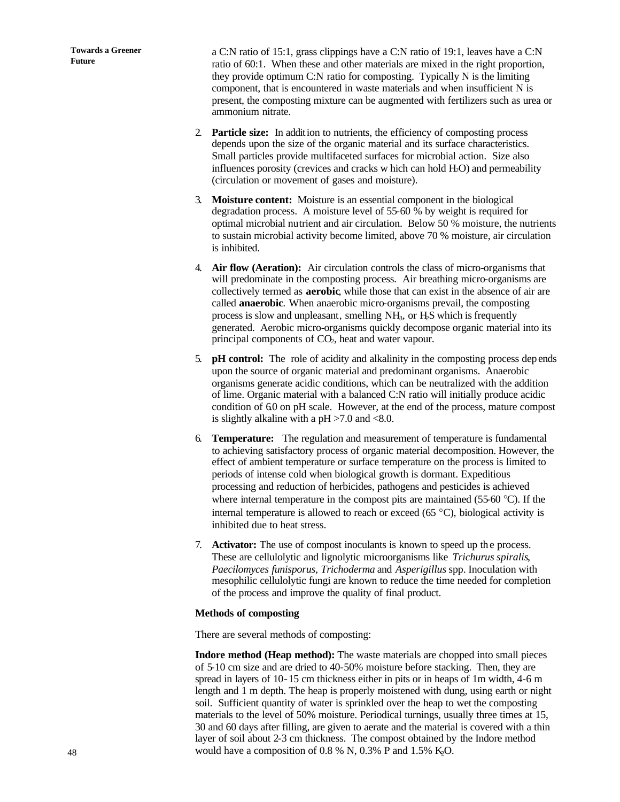a C:N ratio of 15:1, grass clippings have a C:N ratio of 19:1, leaves have a C:N ratio of 60:1. When these and other materials are mixed in the right proportion, they provide optimum C:N ratio for composting. Typically N is the limiting component, that is encountered in waste materials and when insufficient N is present, the composting mixture can be augmented with fertilizers such as urea or ammonium nitrate.

- 2. **Particle size:** In addition to nutrients, the efficiency of composting process depends upon the size of the organic material and its surface characteristics. Small particles provide multifaceted surfaces for microbial action. Size also influences porosity (crevices and cracks w hich can hold  $H_2O$ ) and permeability (circulation or movement of gases and moisture).
- 3. **Moisture content:** Moisture is an essential component in the biological degradation process. A moisture level of 55-60 % by weight is required for optimal microbial nutrient and air circulation. Below 50 % moisture, the nutrients to sustain microbial activity become limited, above 70 % moisture, air circulation is inhibited.
- 4. **Air flow (Aeration):** Air circulation controls the class of micro-organisms that will predominate in the composting process. Air breathing micro-organisms are collectively termed as **aerobic**, while those that can exist in the absence of air are called **anaerobic***.* When anaerobic micro-organisms prevail, the composting process is slow and unpleasant, smelling NH3, or H2S which is frequently generated. Aerobic micro-organisms quickly decompose organic material into its principal components of CO<sub>2</sub>, heat and water vapour.
- 5. **pH control:** The role of acidity and alkalinity in the composting process dep ends upon the source of organic material and predominant organisms. Anaerobic organisms generate acidic conditions, which can be neutralized with the addition of lime. Organic material with a balanced C:N ratio will initially produce acidic condition of 6.0 on pH scale. However, at the end of the process, mature compost is slightly alkaline with a  $pH > 7.0$  and  $< 8.0$ .
- 6. **Temperature:** The regulation and measurement of temperature is fundamental to achieving satisfactory process of organic material decomposition. However, the effect of ambient temperature or surface temperature on the process is limited to periods of intense cold when biological growth is dormant. Expeditious processing and reduction of herbicides, pathogens and pesticides is achieved where internal temperature in the compost pits are maintained (55-60 °C). If the internal temperature is allowed to reach or exceed (65  $^{\circ}$ C), biological activity is inhibited due to heat stress.
- 7. **Activator:** The use of compost inoculants is known to speed up the process. These are cellulolytic and lignolytic microorganisms like *Trichurus spiralis*, *Paecilomyces funisporus, Trichoderma* and *Asperigillus* spp. Inoculation with mesophilic cellulolytic fungi are known to reduce the time needed for completion of the process and improve the quality of final product.

## **Methods of composting**

There are several methods of composting:

**Indore method (Heap method):** The waste materials are chopped into small pieces of 5-10 cm size and are dried to 40-50% moisture before stacking. Then, they are spread in layers of 10-15 cm thickness either in pits or in heaps of 1m width, 4-6 m length and 1 m depth. The heap is properly moistened with dung, using earth or night soil. Sufficient quantity of water is sprinkled over the heap to wet the composting materials to the level of 50% moisture. Periodical turnings, usually three times at 15, 30 and 60 days after filling, are given to aerate and the material is covered with a thin layer of soil about 2-3 cm thickness. The compost obtained by the Indore method would have a composition of 0.8 % N, 0.3% P and 1.5% K,O.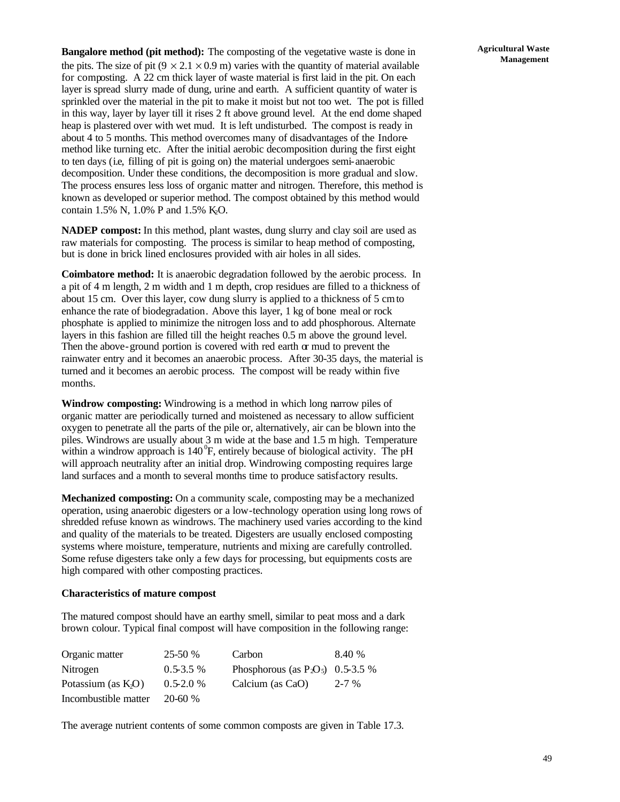**Bangalore method (pit method):** The composting of the vegetative waste is done in the pits. The size of pit ( $9 \times 2.1 \times 0.9$  m) varies with the quantity of material available for composting. A 22 cm thick layer of waste material is first laid in the pit. On each layer is spread slurry made of dung, urine and earth. A sufficient quantity of water is sprinkled over the material in the pit to make it moist but not too wet. The pot is filled in this way, layer by layer till it rises 2 ft above ground level. At the end dome shaped heap is plastered over with wet mud. It is left undisturbed. The compost is ready in about 4 to 5 months. This method overcomes many of disadvantages of the Indoremethod like turning etc. After the initial aerobic decomposition during the first eight to ten days (i.e, filling of pit is going on) the material undergoes semi-anaerobic decomposition. Under these conditions, the decomposition is more gradual and slow. The process ensures less loss of organic matter and nitrogen. Therefore, this method is known as developed or superior method. The compost obtained by this method would contain 1.5% N, 1.0% P and 1.5% K<sub>2</sub>O.

**NADEP compost:** In this method, plant wastes, dung slurry and clay soil are used as raw materials for composting. The process is similar to heap method of composting, but is done in brick lined enclosures provided with air holes in all sides.

**Coimbatore method:** It is anaerobic degradation followed by the aerobic process. In a pit of 4 m length, 2 m width and 1 m depth, crop residues are filled to a thickness of about 15 cm. Over this layer, cow dung slurry is applied to a thickness of 5 cmto enhance the rate of biodegradation. Above this layer, 1 kg of bone meal or rock phosphate is applied to minimize the nitrogen loss and to add phosphorous. Alternate layers in this fashion are filled till the height reaches 0.5 m above the ground level. Then the above-ground portion is covered with red earth  $\alpha$  mud to prevent the rainwater entry and it becomes an anaerobic process. After 30-35 days, the material is turned and it becomes an aerobic process. The compost will be ready within five months.

**Windrow composting:** Windrowing is a method in which long narrow piles of organic matter are periodically turned and moistened as necessary to allow sufficient oxygen to penetrate all the parts of the pile or, alternatively, air can be blown into the piles. Windrows are usually about 3 m wide at the base and 1.5 m high. Temperature within a windrow approach is  $140^{\circ}$ F, entirely because of biological activity. The pH will approach neutrality after an initial drop. Windrowing composting requires large land surfaces and a month to several months time to produce satisfactory results.

**Mechanized composting:** On a community scale, composting may be a mechanized operation, using anaerobic digesters or a low-technology operation using long rows of shredded refuse known as windrows. The machinery used varies according to the kind and quality of the materials to be treated. Digesters are usually enclosed composting systems where moisture, temperature, nutrients and mixing are carefully controlled. Some refuse digesters take only a few days for processing, but equipments costs are high compared with other composting practices.

## **Characteristics of mature compost**

The matured compost should have an earthy smell, similar to peat moss and a dark brown colour. Typical final compost will have composition in the following range:

| Organic matter         | $25-50%$      | Carbon                               | 8.40 %    |
|------------------------|---------------|--------------------------------------|-----------|
| Nitrogen               | $0.5 - 3.5 %$ | Phosphorous (as $P_2O_5$ ) 0.5-3.5 % |           |
| Potassium (as $K_2O$ ) | $0.5 - 2.0 %$ | Calcium (as CaO)                     | $2 - 7\%$ |
| Incombustible matter   | $20 - 60 %$   |                                      |           |

The average nutrient contents of some common composts are given in Table 17.3.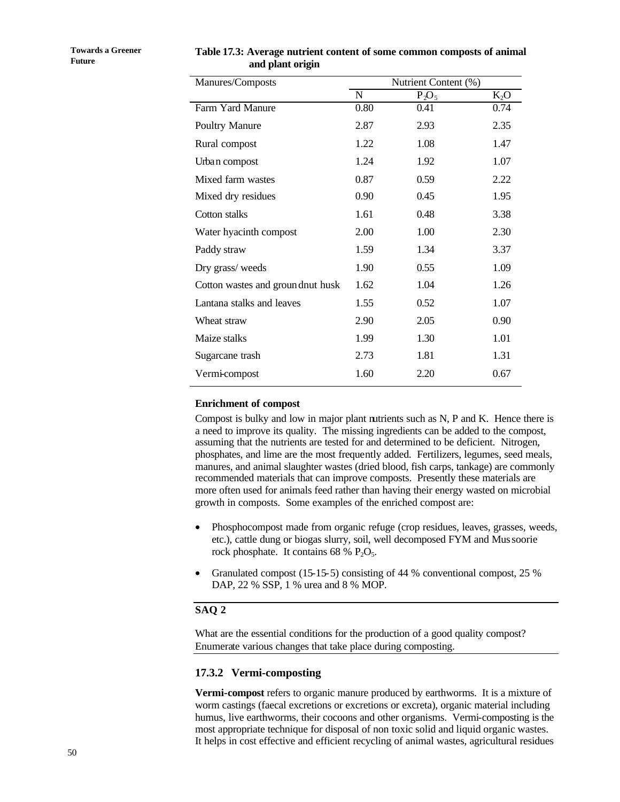| Manures/Composts                 |      | Nutrient Content (%) |        |
|----------------------------------|------|----------------------|--------|
|                                  | N    | $P_2O_5$             | $K_2O$ |
| Farm Yard Manure                 | 0.80 | 0.41                 | 0.74   |
| <b>Poultry Manure</b>            | 2.87 | 2.93                 | 2.35   |
| Rural compost                    | 1.22 | 1.08                 | 1.47   |
| Urban compost                    | 1.24 | 1.92                 | 1.07   |
| Mixed farm wastes                | 0.87 | 0.59                 | 2.22   |
| Mixed dry residues               | 0.90 | 0.45                 | 1.95   |
| Cotton stalks                    | 1.61 | 0.48                 | 3.38   |
| Water hyacinth compost           | 2.00 | 1.00                 | 2.30   |
| Paddy straw                      | 1.59 | 1.34                 | 3.37   |
| Dry grass/weeds                  | 1.90 | 0.55                 | 1.09   |
| Cotton wastes and groundnut husk | 1.62 | 1.04                 | 1.26   |
| Lantana stalks and leaves        | 1.55 | 0.52                 | 1.07   |
| Wheat straw                      | 2.90 | 2.05                 | 0.90   |
| Maize stalks                     | 1.99 | 1.30                 | 1.01   |
| Sugarcane trash                  | 2.73 | 1.81                 | 1.31   |
| Vermi-compost                    | 1.60 | 2.20                 | 0.67   |

**Table 17.3: Average nutrient content of some common composts of animal and plant origin**

#### **Enrichment of compost**

Compost is bulky and low in major plant nutrients such as N, P and K. Hence there is a need to improve its quality. The missing ingredients can be added to the compost, assuming that the nutrients are tested for and determined to be deficient. Nitrogen, phosphates, and lime are the most frequently added. Fertilizers, legumes, seed meals, manures, and animal slaughter wastes (dried blood, fish carps, tankage) are commonly recommended materials that can improve composts. Presently these materials are more often used for animals feed rather than having their energy wasted on microbial growth in composts. Some examples of the enriched compost are:

- Phosphocompost made from organic refuge (crop residues, leaves, grasses, weeds, etc.), cattle dung or biogas slurry, soil, well decomposed FYM and Mussoorie rock phosphate. It contains  $68 \% P_2O_5$ .
- Granulated compost (15-15-5) consisting of 44 % conventional compost, 25 % DAP, 22 % SSP, 1 % urea and 8 % MOP.

#### **SAQ 2**

What are the essential conditions for the production of a good quality compost? Enumerate various changes that take place during composting.

## **17.3.2 Vermi-composting**

**Vermi-compost** refers to organic manure produced by earthworms. It is a mixture of worm castings (faecal excretions or excretions or excreta), organic material including humus, live earthworms, their cocoons and other organisms. Vermi-composting is the most appropriate technique for disposal of non toxic solid and liquid organic wastes. It helps in cost effective and efficient recycling of animal wastes, agricultural residues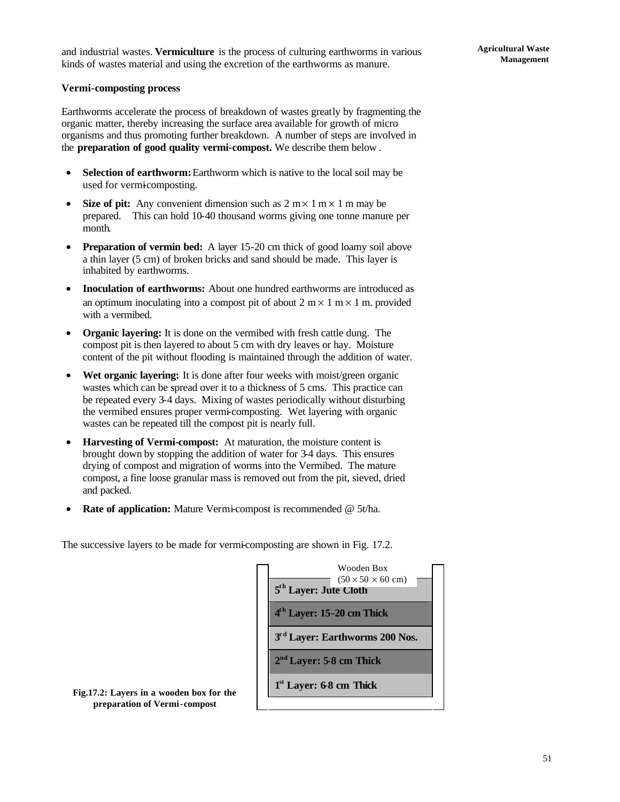#### **Vermi-composting process**

Earthworms accelerate the process of breakdown of wastes greatly by fragmenting the organic matter, thereby increasing the surface area available for growth of micro organisms and thus promoting further breakdown. A number of steps are involved in the **preparation of good quality vermi-compost.** We describe them below .

- **Selection of earthworm:** Earthworm which is native to the local soil may be used for vermicomposting.
- **Size of pit:** Any convenient dimension such as  $2 \text{ m} \times 1 \text{ m} \times 1 \text{ m}$  may be prepared. This can hold 10-40 thousand worms giving one tonne manure per month.
- **Preparation of vermin bed:** A layer 15-20 cm thick of good loamy soil above a thin layer (5 cm) of broken bricks and sand should be made. This layer is inhabited by earthworms.
- **Inoculation of earthworms:** About one hundred earthworms are introduced as an optimum inoculating into a compost pit of about  $2 \text{ m} \times 1 \text{ m} \times 1 \text{ m}$ , provided with a vermibed.
- **Organic layering:** It is done on the vermibed with fresh cattle dung. The compost pit is then layered to about 5 cm with dry leaves or hay. Moisture content of the pit without flooding is maintained through the addition of water.
- Wet organic layering: It is done after four weeks with moist/green organic wastes which can be spread over it to a thickness of 5 cms. This practice can be repeated every 3-4 days. Mixing of wastes periodically without disturbing the vermibed ensures proper vermi-composting. Wet layering with organic wastes can be repeated till the compost pit is nearly full.
- **Harvesting of Vermi-compost:** At maturation, the moisture content is brought down by stopping the addition of water for 3-4 days. This ensures drying of compost and migration of worms into the Vermibed. The mature compost, a fine loose granular mass is removed out from the pit, sieved, dried and packed.
- **Rate of application:** Mature Vermi-compost is recommended @ 5t/ha.

The successive layers to be made for vermi-composting are shown in Fig. 17.2.

| Wooden Box<br>$(50 \times 50 \times 60$ cm)<br>5 <sup>th</sup> Layer: Jute Cloth |  |
|----------------------------------------------------------------------------------|--|
| 4 <sup>th</sup> Layer: 15-20 cm Thick                                            |  |
| 3rd Layer: Earthworms 200 Nos.                                                   |  |
| $2nd Layer: 5-8 cm Thick$                                                        |  |
| $1st$ Layer: 6-8 cm Thick                                                        |  |

**Fig.17.2: Layers in a wooden box for the preparation of Vermi-compost**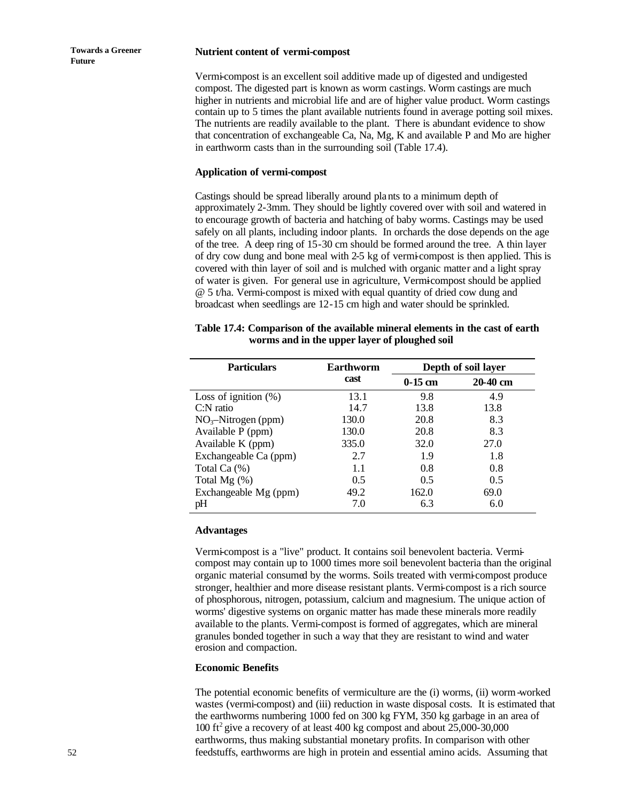#### **Nutrient content of vermi-compost**

Vermi-compost is an excellent soil additive made up of digested and undigested compost. The digested part is known as worm castings. Worm castings are much higher in nutrients and microbial life and are of higher value product. Worm castings contain up to 5 times the plant available nutrients found in average potting soil mixes. The nutrients are readily available to the plant. There is abundant evidence to show that concentration of exchangeable Ca, Na, Mg, K and available P and Mo are higher in earthworm casts than in the surrounding soil (Table 17.4).

#### **Application of vermi-compost**

Castings should be spread liberally around plants to a minimum depth of approximately 2-3mm. They should be lightly covered over with soil and watered in to encourage growth of bacteria and hatching of baby worms. Castings may be used safely on all plants, including indoor plants. In orchards the dose depends on the age of the tree. A deep ring of 15-30 cm should be formed around the tree. A thin layer of dry cow dung and bone meal with 2-5 kg of vermi-compost is then applied. This is covered with thin layer of soil and is mulched with organic matter and a light spray of water is given. For general use in agriculture, Vermi-compost should be applied @ 5 t/ha. Vermi-compost is mixed with equal quantity of dried cow dung and broadcast when seedlings are 12-15 cm high and water should be sprinkled.

| Table 17.4: Comparison of the available mineral elements in the cast of earth |
|-------------------------------------------------------------------------------|
| worms and in the upper layer of ploughed soil                                 |

| <b>Particulars</b>      | Earthworm |           | Depth of soil layer |
|-------------------------|-----------|-----------|---------------------|
|                         | cast      | $0-15$ cm | 20-40 cm            |
| Loss of ignition $(\%)$ | 13.1      | 9.8       | 4.9                 |
| $C:$ N ratio            | 14.7      | 13.8      | 13.8                |
| $NO3$ -Nitrogen (ppm)   | 130.0     | 20.8      | 8.3                 |
| Available P (ppm)       | 130.0     | 20.8      | 8.3                 |
| Available K (ppm)       | 335.0     | 32.0      | 27.0                |
| Exchangeable Ca (ppm)   | 2.7       | 1.9       | 1.8                 |
| Total Ca $(\%)$         | 1.1       | 0.8       | 0.8                 |
| Total Mg $(\%)$         | 0.5       | 0.5       | 0.5                 |
| Exchangeable Mg (ppm)   | 49.2      | 162.0     | 69.0                |
| pH                      | 7.0       | 6.3       | 6.0                 |

#### **Advantages**

Vermi-compost is a "live" product. It contains soil benevolent bacteria. Vermicompost may contain up to 1000 times more soil benevolent bacteria than the original organic material consumed by the worms. Soils treated with vermi-compost produce stronger, healthier and more disease resistant plants. Vermi-compost is a rich source of phosphorous, nitrogen, potassium, calcium and magnesium. The unique action of worms' digestive systems on organic matter has made these minerals more readily available to the plants. Vermi-compost is formed of aggregates, which are mineral granules bonded together in such a way that they are resistant to wind and water erosion and compaction.

#### **Economic Benefits**

The potential economic benefits of vermiculture are the (i) worms, (ii) worm-worked wastes (vermi-compost) and (iii) reduction in waste disposal costs. It is estimated that the earthworms numbering 1000 fed on 300 kg FYM, 350 kg garbage in an area of 100 ft<sup>2</sup> give a recovery of at least 400 kg compost and about 25,000-30,000 earthworms, thus making substantial monetary profits. In comparison with other feedstuffs, earthworms are high in protein and essential amino acids. Assuming that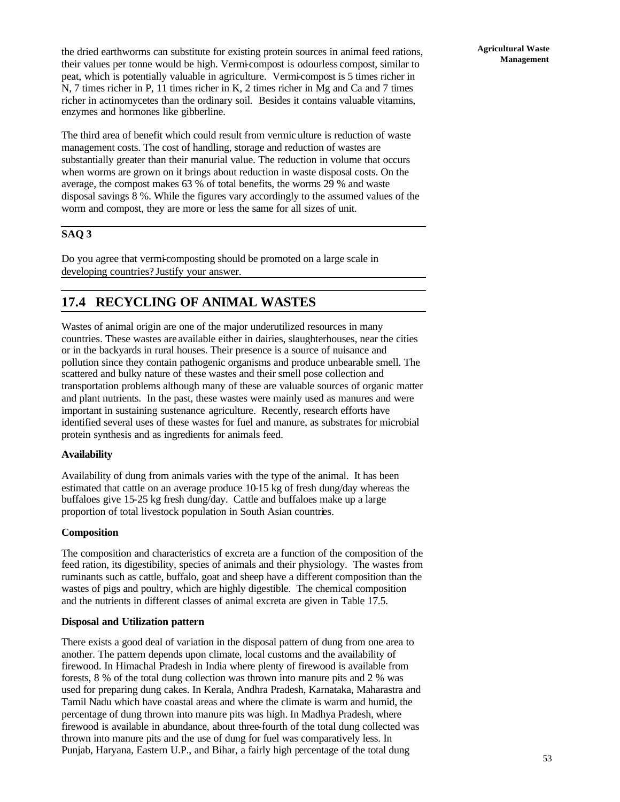The third area of benefit which could result from vermic ulture is reduction of waste management costs. The cost of handling, storage and reduction of wastes are substantially greater than their manurial value. The reduction in volume that occurs when worms are grown on it brings about reduction in waste disposal costs. On the average, the compost makes 63 % of total benefits, the worms 29 % and waste disposal savings 8 %. While the figures vary accordingly to the assumed values of the

## **SAQ 3**

Do you agree that vermi-composting should be promoted on a large scale in developing countries? Justify your answer.

worm and compost, they are more or less the same for all sizes of unit.

## **17.4 RECYCLING OF ANIMAL WASTES**

Wastes of animal origin are one of the major underutilized resources in many countries. These wastes are available either in dairies, slaughterhouses, near the cities or in the backyards in rural houses. Their presence is a source of nuisance and pollution since they contain pathogenic organisms and produce unbearable smell. The scattered and bulky nature of these wastes and their smell pose collection and transportation problems although many of these are valuable sources of organic matter and plant nutrients. In the past, these wastes were mainly used as manures and were important in sustaining sustenance agriculture. Recently, research efforts have identified several uses of these wastes for fuel and manure, as substrates for microbial protein synthesis and as ingredients for animals feed.

## **Availability**

Availability of dung from animals varies with the type of the animal. It has been estimated that cattle on an average produce 10-15 kg of fresh dung/day whereas the buffaloes give 15-25 kg fresh dung/day. Cattle and buffaloes make up a large proportion of total livestock population in South Asian countries.

## **Composition**

The composition and characteristics of excreta are a function of the composition of the feed ration, its digestibility, species of animals and their physiology. The wastes from ruminants such as cattle, buffalo, goat and sheep have a different composition than the wastes of pigs and poultry, which are highly digestible. The chemical composition and the nutrients in different classes of animal excreta are given in Table 17.5.

## **Disposal and Utilization pattern**

There exists a good deal of variation in the disposal pattern of dung from one area to another. The pattern depends upon climate, local customs and the availability of firewood. In Himachal Pradesh in India where plenty of firewood is available from forests, 8 % of the total dung collection was thrown into manure pits and 2 % was used for preparing dung cakes. In Kerala, Andhra Pradesh, Karnataka, Maharastra and Tamil Nadu which have coastal areas and where the climate is warm and humid, the percentage of dung thrown into manure pits was high. In Madhya Pradesh, where firewood is available in abundance, about three-fourth of the total dung collected was thrown into manure pits and the use of dung for fuel was comparatively less. In Punjab, Haryana, Eastern U.P., and Bihar, a fairly high percentage of the total dung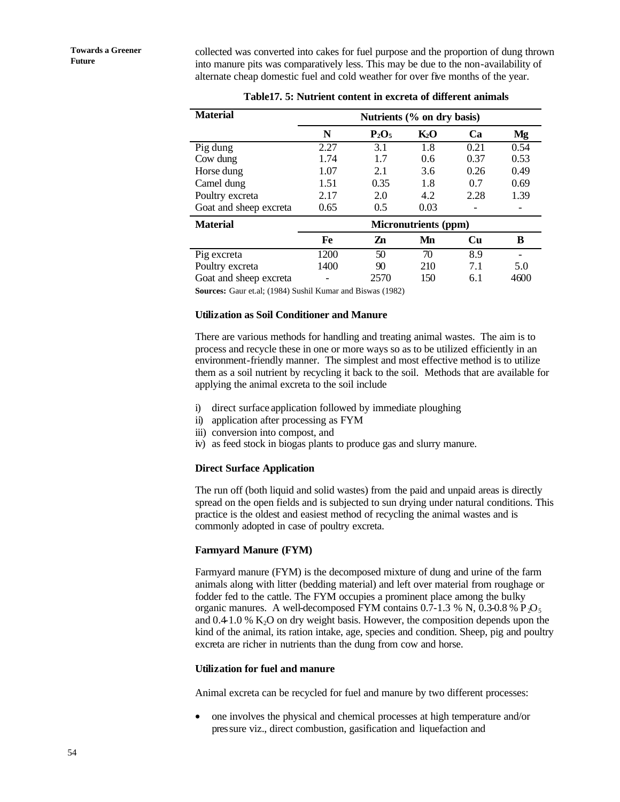collected was converted into cakes for fuel purpose and the proportion of dung thrown into manure pits was comparatively less. This may be due to the non-availability of alternate cheap domestic fuel and cold weather for over five months of the year.

| <b>Material</b>        | Nutrients (% on dry basis)  |          |        |      |      |  |  |
|------------------------|-----------------------------|----------|--------|------|------|--|--|
|                        | N                           | $P_2O_5$ | $K_2O$ | Ca   | Mg   |  |  |
| Pig dung               | 2.27                        | 3.1      | 1.8    | 0.21 | 0.54 |  |  |
| Cow dung               | 1.74                        | 1.7      | 0.6    | 0.37 | 0.53 |  |  |
| Horse dung             | 1.07                        | 2.1      | 3.6    | 0.26 | 0.49 |  |  |
| Camel dung             | 1.51                        | 0.35     | 1.8    | 0.7  | 0.69 |  |  |
| Poultry excreta        | 2.17                        | 2.0      | 4.2    | 2.28 | 1.39 |  |  |
| Goat and sheep excreta | 0.65                        | 0.5      | 0.03   |      |      |  |  |
| <b>Material</b>        | <b>Micronutrients (ppm)</b> |          |        |      |      |  |  |
|                        | Fe                          | Zn       | Mn     | Cu   | B    |  |  |
| Pig excreta            | 1200                        | 50       | 70     | 8.9  |      |  |  |
| Poultry excreta        | 1400                        | 90       | 210    | 7.1  | 5.0  |  |  |
| Goat and sheep excreta |                             | 2570     | 150    | 6.1  | 4600 |  |  |

| Table 17. 5: Nutrient content in excreta of different animals |  |  |  |  |  |  |  |
|---------------------------------------------------------------|--|--|--|--|--|--|--|
|---------------------------------------------------------------|--|--|--|--|--|--|--|

**Sources:** Gaur et.al; (1984) Sushil Kumar and Biswas (1982)

#### **Utilization as Soil Conditioner and Manure**

There are various methods for handling and treating animal wastes. The aim is to process and recycle these in one or more ways so as to be utilized efficiently in an environment-friendly manner. The simplest and most effective method is to utilize them as a soil nutrient by recycling it back to the soil. Methods that are available for applying the animal excreta to the soil include

- i) direct surface application followed by immediate ploughing
- ii) application after processing as FYM
- iii) conversion into compost, and
- iv) as feed stock in biogas plants to produce gas and slurry manure.

## **Direct Surface Application**

The run off (both liquid and solid wastes) from the paid and unpaid areas is directly spread on the open fields and is subjected to sun drying under natural conditions. This practice is the oldest and easiest method of recycling the animal wastes and is commonly adopted in case of poultry excreta.

#### **Farmyard Manure (FYM)**

Farmyard manure (FYM) is the decomposed mixture of dung and urine of the farm animals along with litter (bedding material) and left over material from roughage or fodder fed to the cattle. The FYM occupies a prominent place among the bulky organic manures. A well-decomposed FYM contains  $0.7-1.3$  % N,  $0.3-0.8$  % P<sub>2</sub>O<sub>5</sub> and  $0.41.0\%$  K<sub>2</sub>O on dry weight basis. However, the composition depends upon the kind of the animal, its ration intake, age, species and condition. Sheep, pig and poultry excreta are richer in nutrients than the dung from cow and horse.

#### **Utilization for fuel and manure**

Animal excreta can be recycled for fuel and manure by two different processes:

• one involves the physical and chemical processes at high temperature and/or pressure viz., direct combustion, gasification and liquefaction and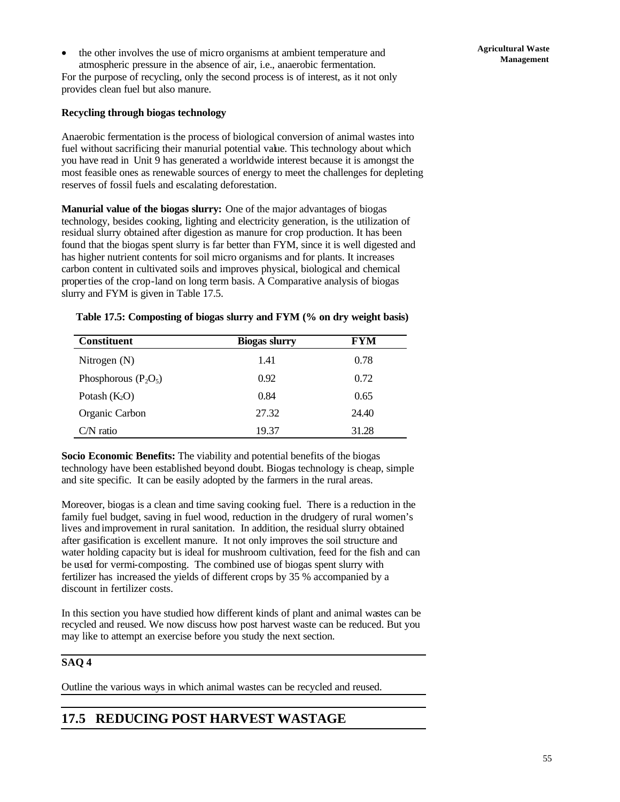• the other involves the use of micro organisms at ambient temperature and atmospheric pressure in the absence of air, i.e., anaerobic fermentation.

For the purpose of recycling, only the second process is of interest, as it not only provides clean fuel but also manure.

## **Recycling through biogas technology**

Anaerobic fermentation is the process of biological conversion of animal wastes into fuel without sacrificing their manurial potential value. This technology about which you have read in Unit 9 has generated a worldwide interest because it is amongst the most feasible ones as renewable sources of energy to meet the challenges for depleting reserves of fossil fuels and escalating deforestation.

**Manurial value of the biogas slurry:** One of the major advantages of biogas technology, besides cooking, lighting and electricity generation, is the utilization of residual slurry obtained after digestion as manure for crop production. It has been found that the biogas spent slurry is far better than FYM, since it is well digested and has higher nutrient contents for soil micro organisms and for plants. It increases carbon content in cultivated soils and improves physical, biological and chemical properties of the crop-land on long term basis. A Comparative analysis of biogas slurry and FYM is given in Table 17.5.

## **Table 17.5: Composting of biogas slurry and FYM (% on dry weight basis)**

| <b>Constituent</b>     | <b>Biogas slurry</b> | FYM   |
|------------------------|----------------------|-------|
| Nitrogen $(N)$         | 1.41                 | 0.78  |
| Phosphorous $(P_2O_5)$ | 0.92                 | 0.72  |
| Potash $(K_2O)$        | 0.84                 | 0.65  |
| Organic Carbon         | 27.32                | 24.40 |
| $CN$ ratio             | 19.37                | 31.28 |

**Socio Economic Benefits:** The viability and potential benefits of the biogas technology have been established beyond doubt. Biogas technology is cheap, simple and site specific. It can be easily adopted by the farmers in the rural areas.

Moreover, biogas is a clean and time saving cooking fuel. There is a reduction in the family fuel budget, saving in fuel wood, reduction in the drudgery of rural women's lives and improvement in rural sanitation. In addition, the residual slurry obtained after gasification is excellent manure. It not only improves the soil structure and water holding capacity but is ideal for mushroom cultivation, feed for the fish and can be used for vermi-composting. The combined use of biogas spent slurry with fertilizer has increased the yields of different crops by 35 % accompanied by a discount in fertilizer costs.

In this section you have studied how different kinds of plant and animal wastes can be recycled and reused. We now discuss how post harvest waste can be reduced. But you may like to attempt an exercise before you study the next section.

## **SAQ 4**

Outline the various ways in which animal wastes can be recycled and reused.

## **17.5 REDUCING POST HARVEST WASTAGE**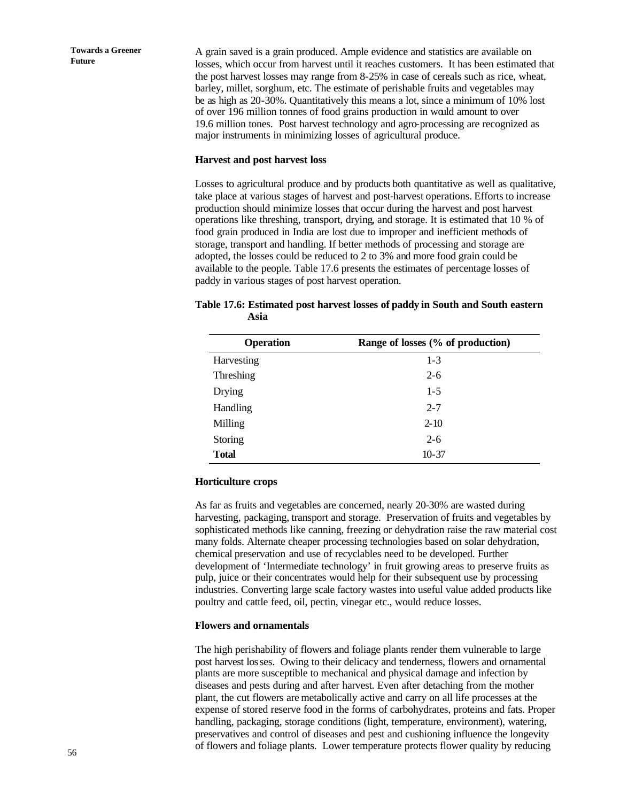A grain saved is a grain produced. Ample evidence and statistics are available on losses, which occur from harvest until it reaches customers. It has been estimated that the post harvest losses may range from 8-25% in case of cereals such as rice, wheat, barley, millet, sorghum, etc. The estimate of perishable fruits and vegetables may be as high as 20-30%. Quantitatively this means a lot, since a minimum of 10% lost of over 196 million tonnes of food grains production in would amount to over 19.6 million tones. Post harvest technology and agro-processing are recognized as major instruments in minimizing losses of agricultural produce.

#### **Harvest and post harvest loss**

Losses to agricultural produce and by products both quantitative as well as qualitative, take place at various stages of harvest and post-harvest operations. Efforts to increase production should minimize losses that occur during the harvest and post harvest operations like threshing, transport, drying, and storage. It is estimated that 10 % of food grain produced in India are lost due to improper and inefficient methods of storage, transport and handling. If better methods of processing and storage are adopted, the losses could be reduced to 2 to 3% and more food grain could be available to the people. Table 17.6 presents the estimates of percentage losses of paddy in various stages of post harvest operation.

| Table 17.6: Estimated post harvest losses of paddy in South and South eastern |  |  |  |
|-------------------------------------------------------------------------------|--|--|--|
| Asia                                                                          |  |  |  |

| <b>Operation</b> | Range of losses (% of production) |
|------------------|-----------------------------------|
| Harvesting       | $1 - 3$                           |
| Threshing        | $2 - 6$                           |
| <b>Drying</b>    | $1-5$                             |
| Handling         | $2 - 7$                           |
| Milling          | $2 - 10$                          |
| Storing          | $2 - 6$                           |
| <b>Total</b>     | $10-37$                           |

#### **Horticulture crops**

As far as fruits and vegetables are concerned, nearly 20-30% are wasted during harvesting, packaging, transport and storage. Preservation of fruits and vegetables by sophisticated methods like canning, freezing or dehydration raise the raw material cost many folds. Alternate cheaper processing technologies based on solar dehydration, chemical preservation and use of recyclables need to be developed. Further development of 'Intermediate technology' in fruit growing areas to preserve fruits as pulp, juice or their concentrates would help for their subsequent use by processing industries. Converting large scale factory wastes into useful value added products like poultry and cattle feed, oil, pectin, vinegar etc., would reduce losses.

#### **Flowers and ornamentals**

The high perishability of flowers and foliage plants render them vulnerable to large post harvest losses. Owing to their delicacy and tenderness, flowers and ornamental plants are more susceptible to mechanical and physical damage and infection by diseases and pests during and after harvest. Even after detaching from the mother plant, the cut flowers are metabolically active and carry on all life processes at the expense of stored reserve food in the forms of carbohydrates, proteins and fats. Proper handling, packaging, storage conditions (light, temperature, environment), watering, preservatives and control of diseases and pest and cushioning influence the longevity of flowers and foliage plants. Lower temperature protects flower quality by reducing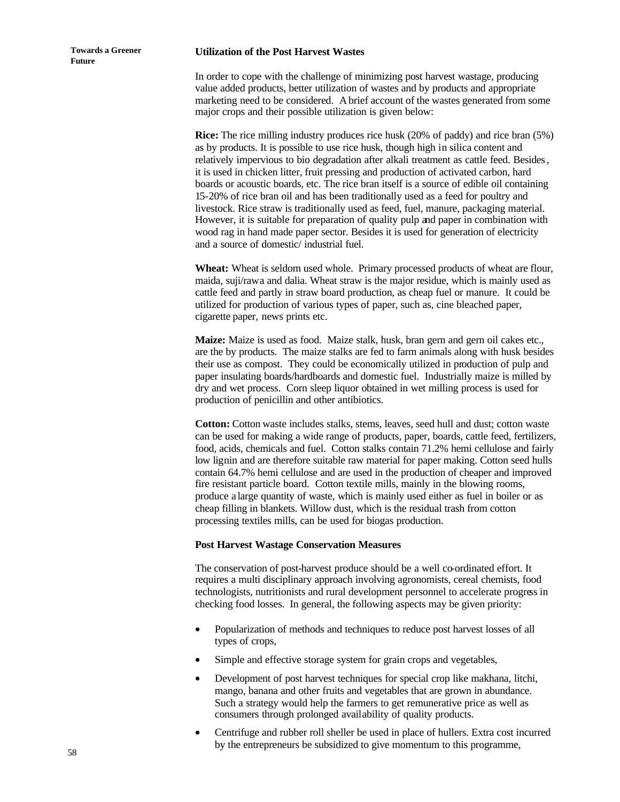#### **Utilization of the Post Harvest Wastes**

In order to cope with the challenge of minimizing post harvest wastage, producing value added products, better utilization of wastes and by products and appropriate marketing need to be considered. A brief account of the wastes generated from some major crops and their possible utilization is given below:

**Rice:** The rice milling industry produces rice husk (20% of paddy) and rice bran (5%) as by products. It is possible to use rice husk, though high in silica content and relatively impervious to bio degradation after alkali treatment as cattle feed. Besides, it is used in chicken litter, fruit pressing and production of activated carbon, hard boards or acoustic boards, etc. The rice bran itself is a source of edible oil containing 15-20% of rice bran oil and has been traditionally used as a feed for poultry and livestock. Rice straw is traditionally used as feed, fuel, manure, packaging material. However, it is suitable for preparation of quality pulp and paper in combination with wood rag in hand made paper sector. Besides it is used for generation of electricity and a source of domestic/ industrial fuel.

**Wheat:** Wheat is seldom used whole. Primary processed products of wheat are flour, maida, suji/rawa and dalia. Wheat straw is the major residue, which is mainly used as cattle feed and partly in straw board production, as cheap fuel or manure. It could be utilized for production of various types of paper, such as, cine bleached paper, cigarette paper, news prints etc.

**Maize:** Maize is used as food. Maize stalk, husk, bran gern and gern oil cakes etc., are the by products. The maize stalks are fed to farm animals along with husk besides their use as compost. They could be economically utilized in production of pulp and paper insulating boards/hardboards and domestic fuel. Industrially maize is milled by dry and wet process. Corn sleep liquor obtained in wet milling process is used for production of penicillin and other antibiotics.

**Cotton:** Cotton waste includes stalks, stems, leaves, seed hull and dust; cotton waste can be used for making a wide range of products, paper, boards, cattle feed, fertilizers, food, acids, chemicals and fuel. Cotton stalks contain 71.2% hemi cellulose and fairly low lignin and are therefore suitable raw material for paper making. Cotton seed hulls contain 64.7% hemi cellulose and are used in the production of cheaper and improved fire resistant particle board. Cotton textile mills, mainly in the blowing rooms, produce a large quantity of waste, which is mainly used either as fuel in boiler or as cheap filling in blankets. Willow dust, which is the residual trash from cotton processing textiles mills, can be used for biogas production.

#### **Post Harvest Wastage Conservation Measures**

The conservation of post-harvest produce should be a well co-ordinated effort. It requires a multi disciplinary approach involving agronomists, cereal chemists, food technologists, nutritionists and rural development personnel to accelerate progress in checking food losses. In general, the following aspects may be given priority:

- Popularization of methods and techniques to reduce post harvest losses of all types of crops,
- Simple and effective storage system for grain crops and vegetables,
- Development of post harvest techniques for special crop like makhana, litchi, mango, banana and other fruits and vegetables that are grown in abundance. Such a strategy would help the farmers to get remunerative price as well as consumers through prolonged availability of quality products.
- Centrifuge and rubber roll sheller be used in place of hullers. Extra cost incurred by the entrepreneurs be subsidized to give momentum to this programme,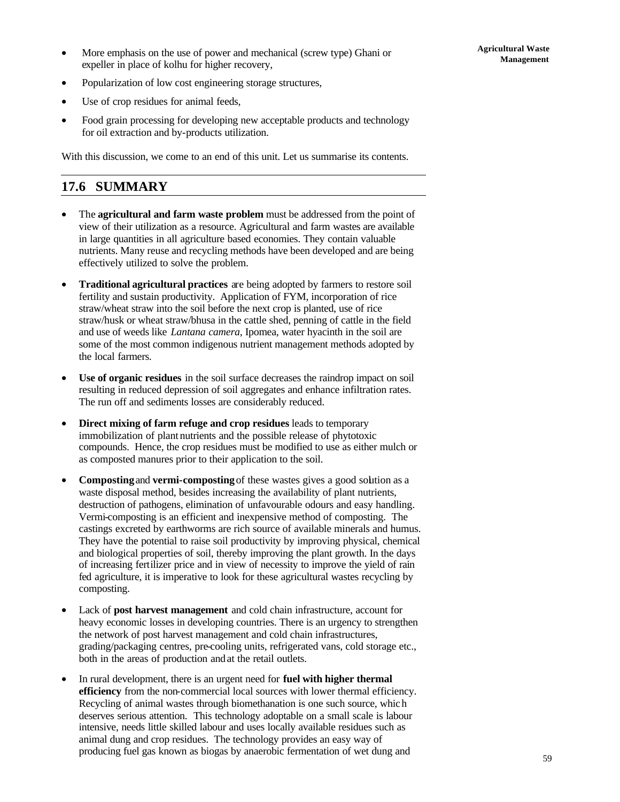• More emphasis on the use of power and mechanical (screw type) Ghani or expeller in place of kolhu for higher recovery,

- Popularization of low cost engineering storage structures,
- Use of crop residues for animal feeds,
- Food grain processing for developing new acceptable products and technology for oil extraction and by-products utilization.

With this discussion, we come to an end of this unit. Let us summarise its contents.

## **17.6 SUMMARY**

- The **agricultural and farm waste problem** must be addressed from the point of view of their utilization as a resource. Agricultural and farm wastes are available in large quantities in all agriculture based economies. They contain valuable nutrients. Many reuse and recycling methods have been developed and are being effectively utilized to solve the problem.
- **Traditional agricultural practices** are being adopted by farmers to restore soil fertility and sustain productivity. Application of FYM, incorporation of rice straw/wheat straw into the soil before the next crop is planted, use of rice straw/husk or wheat straw/bhusa in the cattle shed, penning of cattle in the field and use of weeds like *Lantana camera*, Ipomea, water hyacinth in the soil are some of the most common indigenous nutrient management methods adopted by the local farmers.
- **Use of organic residues** in the soil surface decreases the raindrop impact on soil resulting in reduced depression of soil aggregates and enhance infiltration rates. The run off and sediments losses are considerably reduced.
- **Direct mixing of farm refuge and crop residues** leads to temporary immobilization of plant nutrients and the possible release of phytotoxic compounds. Hence, the crop residues must be modified to use as either mulch or as composted manures prior to their application to the soil.
- **Composting** and **vermi-composting** of these wastes gives a good solution as a waste disposal method, besides increasing the availability of plant nutrients, destruction of pathogens, elimination of unfavourable odours and easy handling. Vermi-composting is an efficient and inexpensive method of composting. The castings excreted by earthworms are rich source of available minerals and humus. They have the potential to raise soil productivity by improving physical, chemical and biological properties of soil, thereby improving the plant growth. In the days of increasing fertilizer price and in view of necessity to improve the yield of rain fed agriculture, it is imperative to look for these agricultural wastes recycling by composting.
- Lack of **post harvest management** and cold chain infrastructure, account for heavy economic losses in developing countries. There is an urgency to strengthen the network of post harvest management and cold chain infrastructures, grading/packaging centres, pre-cooling units, refrigerated vans, cold storage etc., both in the areas of production and at the retail outlets.
- In rural development, there is an urgent need for **fuel with higher thermal efficiency** from the non-commercial local sources with lower thermal efficiency. Recycling of animal wastes through biomethanation is one such source, whic h deserves serious attention. This technology adoptable on a small scale is labour intensive, needs little skilled labour and uses locally available residues such as animal dung and crop residues. The technology provides an easy way of producing fuel gas known as biogas by anaerobic fermentation of wet dung and